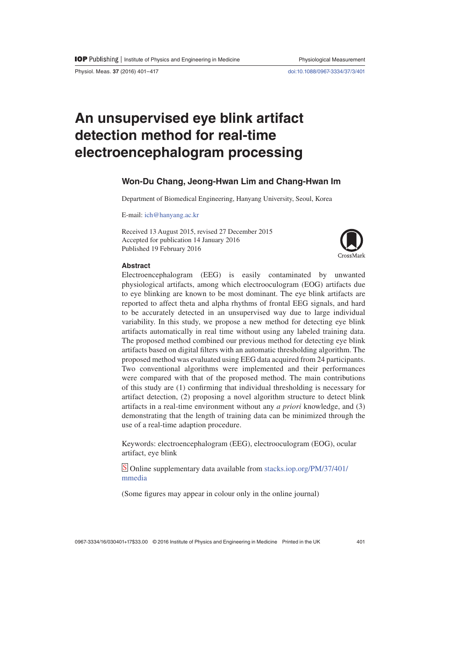Physiol. Meas. **37** (2016) 401–417 doi:10.1088/0967-3334/37/3/401

# **An unsupervised eye blink artifact detection method for real-time electroencephalogram processing**

# **Won-Du Chang, Jeong-Hwan Lim and Chang-Hwan Im**

Department of Biomedical Engineering, Hanyang University, Seoul, Korea

E-mail: ich@hanyang.ac.kr

Received 13 August 2015, revised 27 December 2015 Accepted for publication 14 January 2016 Published 19 February 2016



# **Abstract**

Electroencephalogram (EEG) is easily contaminated by unwanted physiological artifacts, among which electrooculogram (EOG) artifacts due to eye blinking are known to be most dominant. The eye blink artifacts are reported to affect theta and alpha rhythms of frontal EEG signals, and hard to be accurately detected in an unsupervised way due to large individual variability. In this study, we propose a new method for detecting eye blink artifacts automatically in real time without using any labeled training data. The proposed method combined our previous method for detecting eye blink artifacts based on digital filters with an automatic thresholding algorithm. The proposed method was evaluated using EEG data acquired from 24 participants. Two conventional algorithms were implemented and their performances were compared with that of the proposed method. The main contributions of this study are (1) confirming that individual thresholding is necessary for artifact detection, (2) proposing a novel algorithm structure to detect blink artifacts in a real-time environment without any *a priori* knowledge, and (3) demonstrating that the length of training data can be minimized through the use of a real-time adaption procedure.

Keywords: electroencephalogram (EEG), electrooculogram (EOG), ocular artifact, eye blink

S Online supplementary data available from stacks.iop.org/PM/37/401/ mmedia

(Some figures may appear in colour only in the online journal)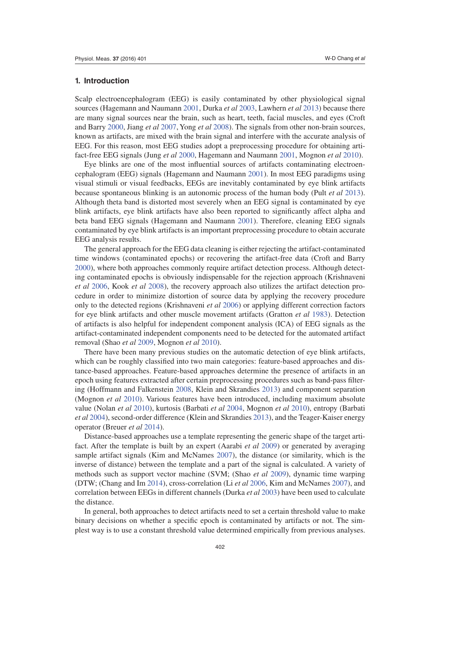# **1. Introduction**

Scalp electroencephalogram (EEG) is easily contaminated by other physiological signal sources (Hagemann and Naumann 2001, Durka *et al* 2003, Lawhern *et al* 2013) because there are many signal sources near the brain, such as heart, teeth, facial muscles, and eyes (Croft and Barry 2000, Jiang *et al* 2007, Yong *et al* 2008). The signals from other non-brain sources, known as artifacts, are mixed with the brain signal and interfere with the accurate analysis of EEG. For this reason, most EEG studies adopt a preprocessing procedure for obtaining artifact-free EEG signals (Jung *et al* 2000, Hagemann and Naumann 2001, Mognon *et al* 2010).

Eye blinks are one of the most influential sources of artifacts contaminating electroencephalogram (EEG) signals (Hagemann and Naumann 2001). In most EEG paradigms using visual stimuli or visual feedbacks, EEGs are inevitably contaminated by eye blink artifacts because spontaneous blinking is an autonomic process of the human body (Pult *et al* 2013). Although theta band is distorted most severely when an EEG signal is contaminated by eye blink artifacts, eye blink artifacts have also been reported to significantly affect alpha and beta band EEG signals (Hagemann and Naumann 2001). Therefore, cleaning EEG signals contaminated by eye blink artifacts is an important preprocessing procedure to obtain accurate EEG analysis results.

The general approach for the EEG data cleaning is either rejecting the artifact-contaminated time windows (contaminated epochs) or recovering the artifact-free data (Croft and Barry 2000), where both approaches commonly require artifact detection process. Although detecting contaminated epochs is obviously indispensable for the rejection approach (Krishnaveni *et al* 2006, Kook *et al* 2008), the recovery approach also utilizes the artifact detection procedure in order to minimize distortion of source data by applying the recovery procedure only to the detected regions (Krishnaveni *et al* 2006) or applying different correction factors for eye blink artifacts and other muscle movement artifacts (Gratton *et al* 1983). Detection of artifacts is also helpful for independent component analysis (ICA) of EEG signals as the artifact-contaminated independent components need to be detected for the automated artifact removal (Shao *et al* 2009, Mognon *et al* 2010).

There have been many previous studies on the automatic detection of eye blink artifacts, which can be roughly classified into two main categories: feature-based approaches and distance-based approaches. Feature-based approaches determine the presence of artifacts in an epoch using features extracted after certain preprocessing procedures such as band-pass filtering (Hoffmann and Falkenstein 2008, Klein and Skrandies 2013) and component separation (Mognon *et al* 2010). Various features have been introduced, including maximum absolute value (Nolan *et al* 2010), kurtosis (Barbati *et al* 2004, Mognon *et al* 2010), entropy (Barbati *et al* 2004), second-order difference (Klein and Skrandies 2013), and the Teager-Kaiser energy operator (Breuer *et al* 2014).

Distance-based approaches use a template representing the generic shape of the target artifact. After the template is built by an expert (Aarabi *et al* 2009) or generated by averaging sample artifact signals (Kim and McNames 2007), the distance (or similarity, which is the inverse of distance) between the template and a part of the signal is calculated. A variety of methods such as support vector machine (SVM; (Shao *et al* 2009), dynamic time warping (DTW; (Chang and Im 2014), cross-correlation (Li *et al* 2006, Kim and McNames 2007), and correlation between EEGs in different channels (Durka *et al* 2003) have been used to calculate the distance.

In general, both approaches to detect artifacts need to set a certain threshold value to make binary decisions on whether a specific epoch is contaminated by artifacts or not. The simplest way is to use a constant threshold value determined empirically from previous analyses.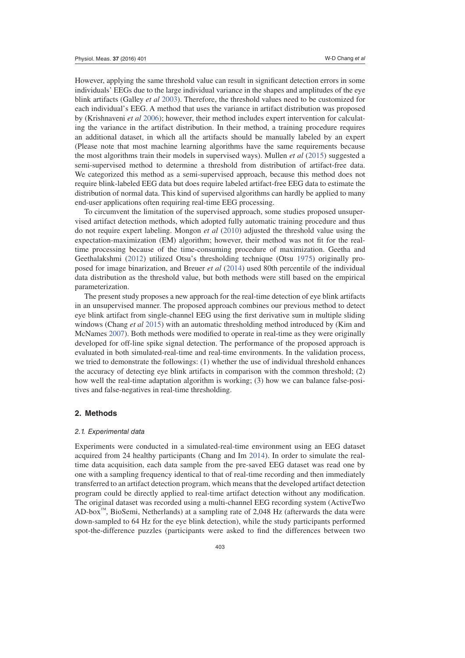However, applying the same threshold value can result in significant detection errors in some individuals' EEGs due to the large individual variance in the shapes and amplitudes of the eye blink artifacts (Galley *et al* 2003). Therefore, the threshold values need to be customized for each individual's EEG. A method that uses the variance in artifact distribution was proposed by (Krishnaveni *et al* 2006); however, their method includes expert intervention for calculating the variance in the artifact distribution. In their method, a training procedure requires an additional dataset, in which all the artifacts should be manually labeled by an expert (Please note that most machine learning algorithms have the same requirements because the most algorithms train their models in supervised ways). Mullen *et al* (2015) suggested a semi-supervised method to determine a threshold from distribution of artifact-free data. We categorized this method as a semi-supervised approach, because this method does not require blink-labeled EEG data but does require labeled artifact-free EEG data to estimate the distribution of normal data. This kind of supervised algorithms can hardly be applied to many end-user applications often requiring real-time EEG processing.

To circumvent the limitation of the supervised approach, some studies proposed unsupervised artifact detection methods, which adopted fully automatic training procedure and thus do not require expert labeling. Mongon *et al* (2010) adjusted the threshold value using the expectation-maximization (EM) algorithm; however, their method was not fit for the realtime processing because of the time-consuming procedure of maximization. Geetha and Geethalakshmi (2012) utilized Otsu's thresholding technique (Otsu 1975) originally proposed for image binarization, and Breuer *et al* (2014) used 80th percentile of the individual data distribution as the threshold value, but both methods were still based on the empirical parameterization.

The present study proposes a new approach for the real-time detection of eye blink artifacts in an unsupervised manner. The proposed approach combines our previous method to detect eye blink artifact from single-channel EEG using the first derivative sum in multiple sliding windows (Chang *et al* 2015) with an automatic thresholding method introduced by (Kim and McNames 2007). Both methods were modified to operate in real-time as they were originally developed for off-line spike signal detection. The performance of the proposed approach is evaluated in both simulated-real-time and real-time environments. In the validation process, we tried to demonstrate the followings: (1) whether the use of individual threshold enhances the accuracy of detecting eye blink artifacts in comparison with the common threshold; (2) how well the real-time adaptation algorithm is working; (3) how we can balance false-positives and false-negatives in real-time thresholding.

#### **2. Methods**

## 2.1. Experimental data

Experiments were conducted in a simulated-real-time environment using an EEG dataset acquired from 24 healthy participants (Chang and Im 2014). In order to simulate the realtime data acquisition, each data sample from the pre-saved EEG dataset was read one by one with a sampling frequency identical to that of real-time recording and then immediately transferred to an artifact detection program, which means that the developed artifact detection program could be directly applied to real-time artifact detection without any modification. The original dataset was recorded using a multi-channel EEG recording system (ActiveTwo AD-box™, BioSemi, Netherlands) at a sampling rate of 2,048 Hz (afterwards the data were down-sampled to 64 Hz for the eye blink detection), while the study participants performed spot-the-difference puzzles (participants were asked to find the differences between two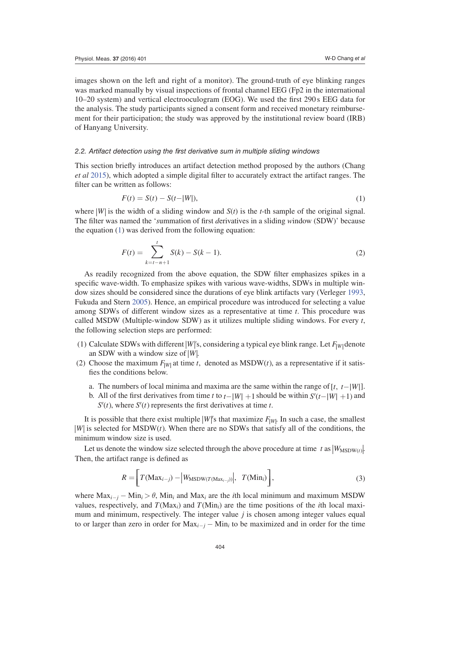images shown on the left and right of a monitor). The ground-truth of eye blinking ranges was marked manually by visual inspections of frontal channel EEG (Fp2 in the international 10–20 system) and vertical electrooculogram (EOG). We used the first 290 s EEG data for the analysis. The study participants signed a consent form and received monetary reimbursement for their participation; the study was approved by the institutional review board (IRB) of Hanyang University.

## 2.2. Artifact detection using the first derivative sum in multiple sliding windows

This section briefly introduces an artifact detection method proposed by the authors (Chang *et al* 2015), which adopted a simple digital filter to accurately extract the artifact ranges. The filter can be written as follows:

$$
F(t) = S(t) - S(t-|W|),
$$
\n(1)

where  $|W|$  is the width of a sliding window and  $S(t)$  is the *t*-th sample of the original signal. The filter was named the '*s*ummation of first *d*erivatives in a sliding *w*indow (SDW)' because the equation (1) was derived from the following equation:

$$
F(t) = \sum_{k=t-n+1}^{t} S(k) - S(k-1).
$$
 (2)

As readily recognized from the above equation, the SDW filter emphasizes spikes in a specific wave-width. To emphasize spikes with various wave-widths, SDWs in multiple window sizes should be considered since the durations of eye blink artifacts vary (Verleger 1993, Fukuda and Stern 2005). Hence, an empirical procedure was introduced for selecting a value among SDWs of different window sizes as a representative at time *t*. This procedure was called MSDW (Multiple-window SDW) as it utilizes multiple sliding windows. For every *t*, the following selection steps are performed:

- (1) Calculate SDWs with different *W*  $\vert W \vert$ 's, considering a typical eye blink range. Let  $F_{\vert W \vert}$  denote an SDW with a window size of  $|W|$ .
- (2) Choose the maximum  $F_{|W|}$  at time *t*, denoted as MSDW(*t*), as a representative if it satisfies the conditions below.
	- a. The numbers of local minima and maxima are the same within the range of  $[t, t-|W|]$ .
	- b. All of the first derivatives from time *t* to  $t-|W| + 1$  should be within  $S'(t-|W| + 1)$  and  $S'(t)$ , where  $S'(t)$  represents the first derivatives at time *t*.

It is possible that there exist multiple  $|W|$ 's that maximize  $F_{|W|}$ . In such a case, the smallest *W* is selected for MSDW(*t*). When there are no SDWs that satisfy all of the conditions, the minimum window size is used.

Let us denote the window size selected through the above procedure at time *t* as  $|W_{\text{MSDW}(t)}|$ . Then, the artifact range is defined as

$$
R = \left[ T(\text{Max}_{i-j}) - \left| W_{\text{MSDW}(T(\text{Max}_{i-j}))} \right|, T(\text{Min}_i) \right], \tag{3}
$$

where  $Max_{i-j} - Min_i > \theta$ , Min<sub>i</sub> and Max<sub>i</sub> are the *i*th local minimum and maximum MSDW values, respectively, and  $T(Max_i)$  and  $T(Min_i)$  are the time positions of the *i*th local maximum and minimum, respectively. The integer value *j* is chosen among integer values equal to or larger than zero in order for  $Max_{i-j} - Min_i$  to be maximized and in order for the time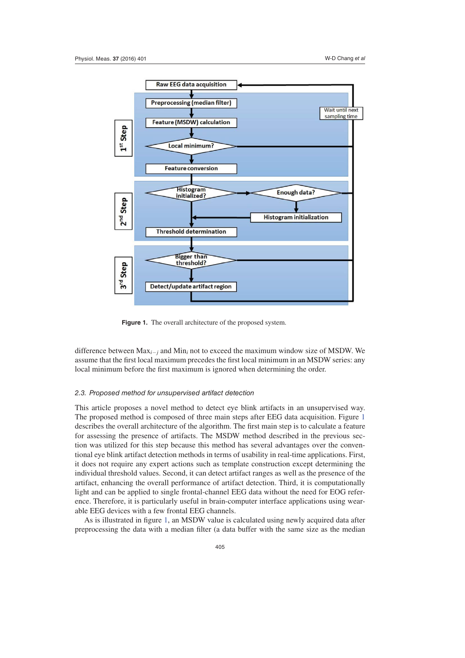

**Figure 1.** The overall architecture of the proposed system.

difference between  $Max_{i-j}$  and  $Min_i$  not to exceed the maximum window size of MSDW. We assume that the first local maximum precedes the first local minimum in an MSDW series: any local minimum before the first maximum is ignored when determining the order.

# 2.3. Proposed method for unsupervised artifact detection

This article proposes a novel method to detect eye blink artifacts in an unsupervised way. The proposed method is composed of three main steps after EEG data acquisition. Figure 1 describes the overall architecture of the algorithm. The first main step is to calculate a feature for assessing the presence of artifacts. The MSDW method described in the previous section was utilized for this step because this method has several advantages over the conventional eye blink artifact detection methods in terms of usability in real-time applications. First, it does not require any expert actions such as template construction except determining the individual threshold values. Second, it can detect artifact ranges as well as the presence of the artifact, enhancing the overall performance of artifact detection. Third, it is computationally light and can be applied to single frontal-channel EEG data without the need for EOG reference. Therefore, it is particularly useful in brain-computer interface applications using wearable EEG devices with a few frontal EEG channels.

As is illustrated in figure 1, an MSDW value is calculated using newly acquired data after preprocessing the data with a median filter (a data buffer with the same size as the median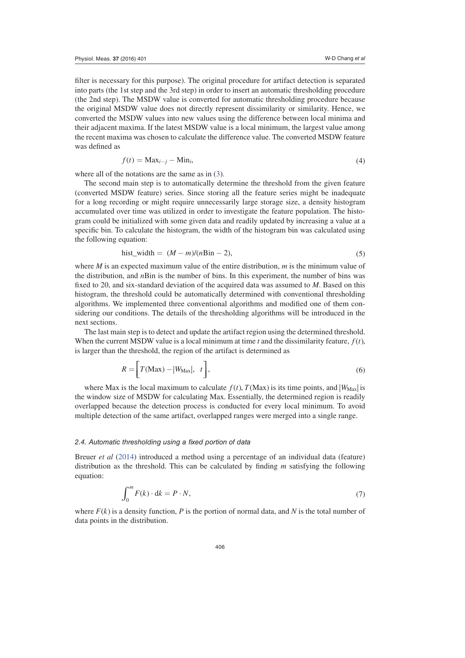filter is necessary for this purpose). The original procedure for artifact detection is separated into parts (the 1st step and the 3rd step) in order to insert an automatic thresholding procedure (the 2nd step). The MSDW value is converted for automatic thresholding procedure because the original MSDW value does not directly represent dissimilarity or similarity. Hence, we converted the MSDW values into new values using the difference between local minima and their adjacent maxima. If the latest MSDW value is a local minimum, the largest value among the recent maxima was chosen to calculate the difference value. The converted MSDW feature was defined as

$$
f(t) = \text{Max}_{i-j} - \text{Min}_i,\tag{4}
$$

where all of the notations are the same as in  $(3)$ .

The second main step is to automatically determine the threshold from the given feature (converted MSDW feature) series. Since storing all the feature series might be inadequate for a long recording or might require unnecessarily large storage size, a density histogram accumulated over time was utilized in order to investigate the feature population. The histogram could be initialized with some given data and readily updated by increasing a value at a specific bin. To calculate the histogram, the width of the histogram bin was calculated using the following equation:

$$
hist\_width = (M - m)/(nBin - 2),\tag{5}
$$

where *M* is an expected maximum value of the entire distribution, *m* is the minimum value of the distribution, and *n*Bin is the number of bins. In this experiment, the number of bins was fixed to 20, and six-standard deviation of the acquired data was assumed to *M*. Based on this histogram, the threshold could be automatically determined with conventional thresholding algorithms. We implemented three conventional algorithms and modified one of them considering our conditions. The details of the thresholding algorithms will be introduced in the next sections.

The last main step is to detect and update the artifact region using the determined threshold. When the current MSDW value is a local minimum at time  $t$  and the dissimilarity feature,  $f(t)$ , is larger than the threshold, the region of the artifact is determined as

$$
R = \left[ T(\text{Max}) - |W_{\text{Max}}|, t \right],\tag{6}
$$

where Max is the local maximum to calculate  $f(t)$ ,  $T(Max)$  is its time points, and  $|W_{Max}|$  is the window size of MSDW for calculating Max. Essentially, the determined region is readily overlapped because the detection process is conducted for every local minimum. To avoid multiple detection of the same artifact, overlapped ranges were merged into a single range.

#### 2.4. Automatic thresholding using a fixed portion of data

Breuer *et al* (2014) introduced a method using a percentage of an individual data (feature) distribution as the threshold. This can be calculated by finding *m* satisfying the following equation:

$$
\int_0^m F(k) \cdot dk = P \cdot N,\tag{7}
$$

where  $F(k)$  is a density function, P is the portion of normal data, and N is the total number of data points in the distribution.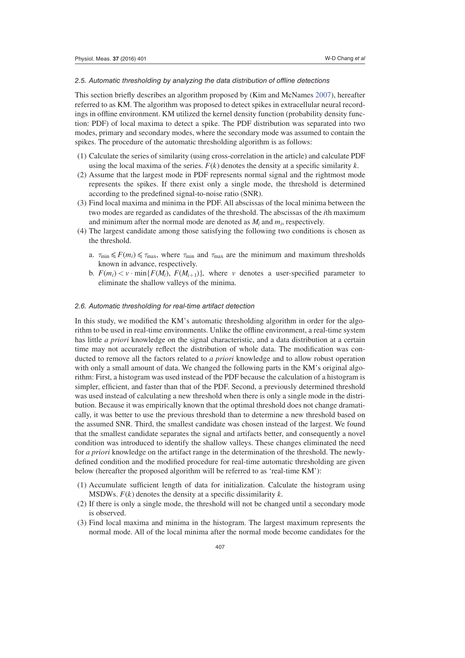## 2.5. Automatic thresholding by analyzing the data distribution of offline detections

This section briefly describes an algorithm proposed by (Kim and McNames 2007), hereafter referred to as KM. The algorithm was proposed to detect spikes in extracellular neural recordings in offline environment. KM utilized the kernel density function (probability density function: PDF) of local maxima to detect a spike. The PDF distribution was separated into two modes, primary and secondary modes, where the secondary mode was assumed to contain the spikes. The procedure of the automatic thresholding algorithm is as follows:

- (1) Calculate the series of similarity (using cross-correlation in the article) and calculate PDF using the local maxima of the series.  $F(k)$  denotes the density at a specific similarity  $k$ .
- (2) Assume that the largest mode in PDF represents normal signal and the rightmost mode represents the spikes. If there exist only a single mode, the threshold is determined according to the predefined signal-to-noise ratio (SNR).
- (3) Find local maxima and minima in the PDF. All abscissas of the local minima between the two modes are regarded as candidates of the threshold. The abscissas of the *i*th maximum and minimum after the normal mode are denoted as  $M_i$  and  $m_i$ , respectively.
- (4) The largest candidate among those satisfying the following two conditions is chosen as the threshold.
	- a.  $\tau_{\min} \leq F(m_i) \leq \tau_{\max}$ , where  $\tau_{\min}$  and  $\tau_{\max}$  are the minimum and maximum thresholds known in advance, respectively.
	- b.  $F(m_i) < v \cdot \min\{F(M_i), F(M_{i+1})\}$ , where *v* denotes a user-specified parameter to eliminate the shallow valleys of the minima.

#### 2.6. Automatic thresholding for real-time artifact detection

In this study, we modified the KM's automatic thresholding algorithm in order for the algorithm to be used in real-time environments. Unlike the offline environment, a real-time system has little *a priori* knowledge on the signal characteristic, and a data distribution at a certain time may not accurately reflect the distribution of whole data. The modification was conducted to remove all the factors related to *a priori* knowledge and to allow robust operation with only a small amount of data. We changed the following parts in the KM's original algorithm: First, a histogram was used instead of the PDF because the calculation of a histogram is simpler, efficient, and faster than that of the PDF. Second, a previously determined threshold was used instead of calculating a new threshold when there is only a single mode in the distribution. Because it was empirically known that the optimal threshold does not change dramatically, it was better to use the previous threshold than to determine a new threshold based on the assumed SNR. Third, the smallest candidate was chosen instead of the largest. We found that the smallest candidate separates the signal and artifacts better, and consequently a novel condition was introduced to identify the shallow valleys. These changes eliminated the need for *a priori* knowledge on the artifact range in the determination of the threshold. The newlydefined condition and the modified procedure for real-time automatic thresholding are given below (hereafter the proposed algorithm will be referred to as 'real-time KM'):

- (1) Accumulate sufficient length of data for initialization. Calculate the histogram using MSDWs.  $F(k)$  denotes the density at a specific dissimilarity  $k$ .
- (2) If there is only a single mode, the threshold will not be changed until a secondary mode is observed.
- (3) Find local maxima and minima in the histogram. The largest maximum represents the normal mode. All of the local minima after the normal mode become candidates for the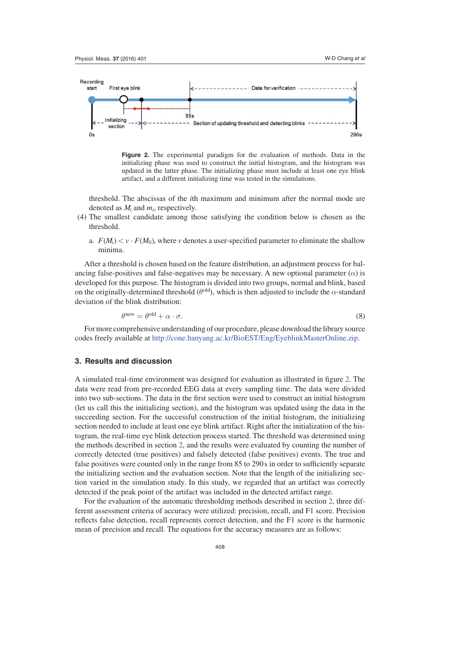

**Figure 2.** The experimental paradigm for the evaluation of methods. Data in the initializing phase was used to construct the initial histogram, and the histogram was updated in the latter phase. The initializing phase must include at least one eye blink artifact, and a different initializing time was tested in the simulations.

threshold. The abscissas of the *i*th maximum and minimum after the normal mode are denoted as *Mi* and *mi*, respectively.

- (4) The smallest candidate among those satisfying the condition below is chosen as the threshold.
	- a.  $F(M_i) < v \cdot F(M_0)$ , where *v* denotes a user-specified parameter to eliminate the shallow minima.

After a threshold is chosen based on the feature distribution, an adjustment process for balancing false-positives and false-negatives may be necessary. A new optional parameter  $(\alpha)$  is developed for this purpose. The histogram is divided into two groups, normal and blink, based on the originally-determined threshold  $(\theta^{old})$ , which is then adjusted to include the  $\alpha$ -standard deviation of the blink distribution:

$$
\theta^{\text{new}} = \theta^{\text{old}} + \alpha \cdot \sigma. \tag{8}
$$

For more comprehensive understanding of our procedure, please download the library source codes freely available at http://cone.hanyang.ac.kr/BioEST/Eng/EyeblinkMasterOnline.zip.

# **3. Results and discussion**

A simulated real-time environment was designed for evaluation as illustrated in figure 2. The data were read from pre-recorded EEG data at every sampling time. The data were divided into two sub-sections. The data in the first section were used to construct an initial histogram (let us call this the initializing section), and the histogram was updated using the data in the succeeding section. For the successful construction of the initial histogram, the initializing section needed to include at least one eye blink artifact. Right after the initialization of the histogram, the real-time eye blink detection process started. The threshold was determined using the methods described in section 2, and the results were evaluated by counting the number of correctly detected (true positives) and falsely detected (false positives) events. The true and false positives were counted only in the range from 85 to 290 s in order to sufficiently separate the initializing section and the evaluation section. Note that the length of the initializing section varied in the simulation study. In this study, we regarded that an artifact was correctly detected if the peak point of the artifact was included in the detected artifact range.

For the evaluation of the automatic thresholding methods described in section 2, three different assessment criteria of accuracy were utilized: precision, recall, and F1 score. Precision reflects false detection, recall represents correct detection, and the F1 score is the harmonic mean of precision and recall. The equations for the accuracy measures are as follows: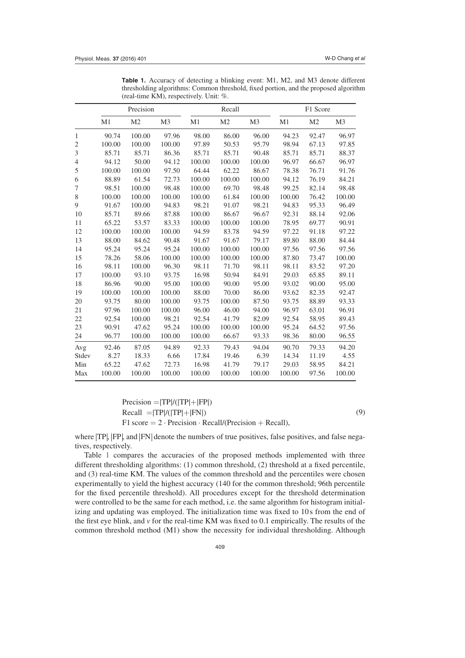| <b>Table 1.</b> Accuracy of detecting a blinking event: M1, M2, and M3 denote different |
|-----------------------------------------------------------------------------------------|
| thresholding algorithms: Common threshold, fixed portion, and the proposed algorithm    |
| (real-time KM), respectively. Unit: $\%$ .                                              |

|                | Precision |                |                | Recall |                |                | F1 Score |                |                |
|----------------|-----------|----------------|----------------|--------|----------------|----------------|----------|----------------|----------------|
|                | M1        | M <sub>2</sub> | M <sub>3</sub> | M1     | M <sub>2</sub> | M <sub>3</sub> | M1       | M <sub>2</sub> | M <sub>3</sub> |
| 1              | 90.74     | 100.00         | 97.96          | 98.00  | 86.00          | 96.00          | 94.23    | 92.47          | 96.97          |
| $\overline{2}$ | 100.00    | 100.00         | 100.00         | 97.89  | 50.53          | 95.79          | 98.94    | 67.13          | 97.85          |
| 3              | 85.71     | 85.71          | 86.36          | 85.71  | 85.71          | 90.48          | 85.71    | 85.71          | 88.37          |
| 4              | 94.12     | 50.00          | 94.12          | 100.00 | 100.00         | 100.00         | 96.97    | 66.67          | 96.97          |
| 5              | 100.00    | 100.00         | 97.50          | 64.44  | 62.22          | 86.67          | 78.38    | 76.71          | 91.76          |
| 6              | 88.89     | 61.54          | 72.73          | 100.00 | 100.00         | 100.00         | 94.12    | 76.19          | 84.21          |
| 7              | 98.51     | 100.00         | 98.48          | 100.00 | 69.70          | 98.48          | 99.25    | 82.14          | 98.48          |
| 8              | 100.00    | 100.00         | 100.00         | 100.00 | 61.84          | 100.00         | 100.00   | 76.42          | 100.00         |
| 9              | 91.67     | 100.00         | 94.83          | 98.21  | 91.07          | 98.21          | 94.83    | 95.33          | 96.49          |
| 10             | 85.71     | 89.66          | 87.88          | 100.00 | 86.67          | 96.67          | 92.31    | 88.14          | 92.06          |
| 11             | 65.22     | 53.57          | 83.33          | 100.00 | 100.00         | 100.00         | 78.95    | 69.77          | 90.91          |
| 12             | 100.00    | 100.00         | 100.00         | 94.59  | 83.78          | 94.59          | 97.22    | 91.18          | 97.22          |
| 13             | 88.00     | 84.62          | 90.48          | 91.67  | 91.67          | 79.17          | 89.80    | 88.00          | 84.44          |
| 14             | 95.24     | 95.24          | 95.24          | 100.00 | 100.00         | 100.00         | 97.56    | 97.56          | 97.56          |
| 15             | 78.26     | 58.06          | 100.00         | 100.00 | 100.00         | 100.00         | 87.80    | 73.47          | 100.00         |
| 16             | 98.11     | 100.00         | 96.30          | 98.11  | 71.70          | 98.11          | 98.11    | 83.52          | 97.20          |
| 17             | 100.00    | 93.10          | 93.75          | 16.98  | 50.94          | 84.91          | 29.03    | 65.85          | 89.11          |
| 18             | 86.96     | 90.00          | 95.00          | 100.00 | 90.00          | 95.00          | 93.02    | 90.00          | 95.00          |
| 19             | 100.00    | 100.00         | 100.00         | 88.00  | 70.00          | 86.00          | 93.62    | 82.35          | 92.47          |
| 20             | 93.75     | 80.00          | 100.00         | 93.75  | 100.00         | 87.50          | 93.75    | 88.89          | 93.33          |
| 21             | 97.96     | 100.00         | 100.00         | 96.00  | 46.00          | 94.00          | 96.97    | 63.01          | 96.91          |
| 22             | 92.54     | 100.00         | 98.21          | 92.54  | 41.79          | 82.09          | 92.54    | 58.95          | 89.43          |
| 23             | 90.91     | 47.62          | 95.24          | 100.00 | 100.00         | 100.00         | 95.24    | 64.52          | 97.56          |
| 24             | 96.77     | 100.00         | 100.00         | 100.00 | 66.67          | 93.33          | 98.36    | 80.00          | 96.55          |
| Avg            | 92.46     | 87.05          | 94.89          | 92.33  | 79.43          | 94.04          | 90.70    | 79.33          | 94.20          |
| Stdev          | 8.27      | 18.33          | 6.66           | 17.84  | 19.46          | 6.39           | 14.34    | 11.19          | 4.55           |
| Min            | 65.22     | 47.62          | 72.73          | 16.98  | 41.79          | 79.17          | 29.03    | 58.95          | 84.21          |
| Max            | 100.00    | 100.00         | 100.00         | 100.00 | 100.00         | 100.00         | 100.00   | 97.56          | 100.00         |

 $Precision = |TP| / (|TP| + |FP|)$  $Recall = |TP|/(|TP| + |FN|)$  (9)  $F1 score = 2 \cdot Precision \cdot Recall / (Precision + Recall),$ 

where  $|TP|$ ,  $|FP|$ , and  $|FN|$  denote the numbers of true positives, false positives, and false negatives, respectively.

Table 1 compares the accuracies of the proposed methods implemented with three different thresholding algorithms: (1) common threshold, (2) threshold at a fixed percentile, and (3) real-time KM. The values of the common threshold and the percentiles were chosen experimentally to yield the highest accuracy (140 for the common threshold; 96th percentile for the fixed percentile threshold). All procedures except for the threshold determination were controlled to be the same for each method, i.e. the same algorithm for histogram initializing and updating was employed. The initialization time was fixed to 10s from the end of the first eye blink, and *v* for the real-time KM was fixed to 0.1 empirically. The results of the common threshold method (M1) show the necessity for individual thresholding. Although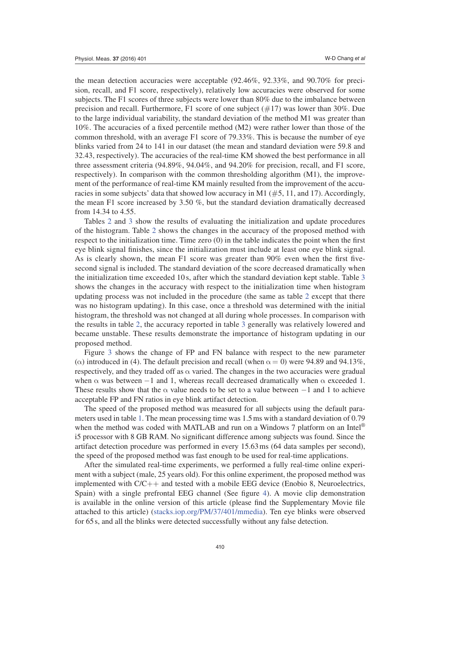the mean detection accuracies were acceptable (92.46%, 92.33%, and 90.70% for precision, recall, and F1 score, respectively), relatively low accuracies were observed for some subjects. The F1 scores of three subjects were lower than 80% due to the imbalance between precision and recall. Furthermore, F1 score of one subject  $(\#17)$  was lower than 30%. Due to the large individual variability, the standard deviation of the method M1 was greater than 10%. The accuracies of a fixed percentile method (M2) were rather lower than those of the common threshold, with an average F1 score of 79.33%. This is because the number of eye blinks varied from 24 to 141 in our dataset (the mean and standard deviation were 59.8 and 32.43, respectively). The accuracies of the real-time KM showed the best performance in all three assessment criteria (94.89%, 94.04%, and 94.20% for precision, recall, and F1 score, respectively). In comparison with the common thresholding algorithm (M1), the improvement of the performance of real-time KM mainly resulted from the improvement of the accuracies in some subjects' data that showed low accuracy in M1 ( $#5$ , 11, and 17). Accordingly, the mean F1 score increased by 3.50 %, but the standard deviation dramatically decreased from 14.34 to 4.55.

Tables 2 and 3 show the results of evaluating the initialization and update procedures of the histogram. Table 2 shows the changes in the accuracy of the proposed method with respect to the initialization time. Time zero (0) in the table indicates the point when the first eye blink signal finishes, since the initialization must include at least one eye blink signal. As is clearly shown, the mean F1 score was greater than 90% even when the first fivesecond signal is included. The standard deviation of the score decreased dramatically when the initialization time exceeded 10 s, after which the standard deviation kept stable. Table 3 shows the changes in the accuracy with respect to the initialization time when histogram updating process was not included in the procedure (the same as table 2 except that there was no histogram updating). In this case, once a threshold was determined with the initial histogram, the threshold was not changed at all during whole processes. In comparison with the results in table 2, the accuracy reported in table 3 generally was relatively lowered and became unstable. These results demonstrate the importance of histogram updating in our proposed method.

Figure 3 shows the change of FP and FN balance with respect to the new parameter ( $\alpha$ ) introduced in (4). The default precision and recall (when  $\alpha = 0$ ) were 94.89 and 94.13%, respectively, and they traded off as  $\alpha$  varied. The changes in the two accuracies were gradual when  $\alpha$  was between -1 and 1, whereas recall decreased dramatically when  $\alpha$  exceeded 1. These results show that the  $\alpha$  value needs to be set to a value between  $-1$  and 1 to achieve acceptable FP and FN ratios in eye blink artifact detection.

The speed of the proposed method was measured for all subjects using the default parameters used in table 1. The mean processing time was 1.5 ms with a standard deviation of 0.79 when the method was coded with MATLAB and run on a Windows 7 platform on an Intel<sup>®</sup> i5 processor with 8 GB RAM. No significant difference among subjects was found. Since the artifact detection procedure was performed in every 15.63 ms (64 data samples per second), the speed of the proposed method was fast enough to be used for real-time applications.

After the simulated real-time experiments, we performed a fully real-time online experiment with a subject (male, 25 years old). For this online experiment, the proposed method was implemented with  $C/C++$  and tested with a mobile EEG device (Enobio 8, Neuroelectrics, Spain) with a single prefrontal EEG channel (See figure 4). A movie clip demonstration is available in the online version of this article (please find the Supplementary Movie file attached to this article) (stacks.iop.org/PM/37/401/mmedia). Ten eye blinks were observed for 65 s, and all the blinks were detected successfully without any false detection.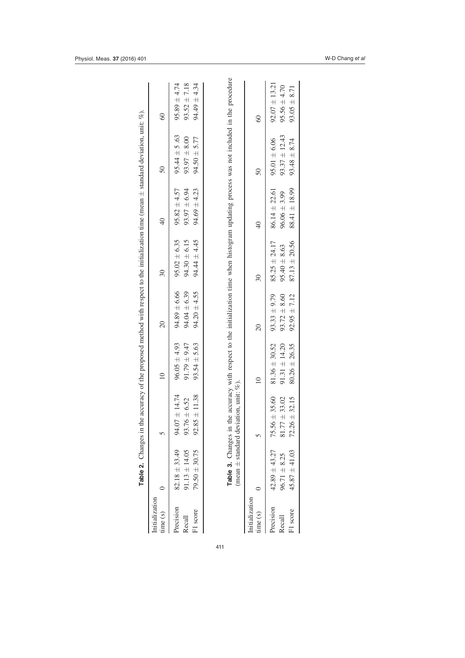|                                 | Table 2. Changes in t                                       |                                                                                                                                                                                         | the accuracy of the proposed method with respect to the initialization time (mean $\pm$ standard deviation, unit: %). |                                                          |                                                            |                                                          |                                                           |                                                           |
|---------------------------------|-------------------------------------------------------------|-----------------------------------------------------------------------------------------------------------------------------------------------------------------------------------------|-----------------------------------------------------------------------------------------------------------------------|----------------------------------------------------------|------------------------------------------------------------|----------------------------------------------------------|-----------------------------------------------------------|-----------------------------------------------------------|
| Initialization<br>time(s)       |                                                             |                                                                                                                                                                                         |                                                                                                                       | $\overline{20}$                                          | 30                                                         | $\sqrt{4}$                                               | $50\,$                                                    | $\odot$                                                   |
| Precision<br>F1 score<br>Recall | $82.18 \pm 33.49$<br>$91.13 \pm 14.05$<br>$79.50 \pm 30.75$ | 94.07 ± 14.74<br>$92.85 \pm 11.38$<br>$93.76 \pm 6.52$                                                                                                                                  | $96.05 \pm 4.93$<br>$93.54 \pm 5.63$<br>$91.79 \pm 9.47$                                                              | $94.20 \pm 4.55$<br>$94.89 \pm 6.66$<br>$94.04 \pm 6.39$ | $95.02 \pm 6.35$<br>$94.30 \pm 6.15$<br>$94.44 \pm 4.45$   | $93.97 \pm 6.94$<br>$95.82 \pm 4.57$<br>$94.69 \pm 4.23$ | $95.44 \pm 5.63$<br>$93.97 \pm 8.00$<br>$94.50 \pm 5.77$  | $95.89 \pm 4.74$<br>$93.52 \pm 7.18$<br>$94.49 \pm 4.34$  |
|                                 |                                                             | Table 3. Changes in the accuracy with respect to the initialization time when histogram updating process was not included in the procedure<br>(mean $\pm$ standard deviation, unit: %). |                                                                                                                       |                                                          |                                                            |                                                          |                                                           |                                                           |
| Initialization<br>time(s)       |                                                             |                                                                                                                                                                                         | $\subseteq$                                                                                                           | $\overline{20}$                                          | $\overline{30}$                                            | $\frac{1}{4}$                                            | $\overline{50}$                                           | $\degree$                                                 |
| Precision<br>F1 score<br>Recall | $42.89 \pm 43.27$<br>$45.87 \pm 41.03$<br>$96.71 \pm 8.25$  | $75.56 \pm 35.60$<br>$81.77 \pm 33.02$<br>$72.26 \pm 32.15$                                                                                                                             | $91.31 \pm 14.20$<br>$81.36 \pm 30.52$<br>$80.26 \pm 26.35$                                                           | $93.33 \pm 9.79$<br>$93.72 \pm 8.60$<br>$92.95 \pm 7.12$ | $85.25 \pm 24.17$<br>$87.13 \pm 20.56$<br>$95.40 \pm 8.63$ | 88.41 ± 18.99<br>$86.14 \pm 22.61$<br>$96.06 \pm 3.99$   | $93.37 \pm 12.43$<br>$95.01 \pm 6.06$<br>$93.48 \pm 8.74$ | $92.07 \pm 13.21$<br>$95.56 \pm 4.70$<br>$93.05 \pm 8.71$ |

411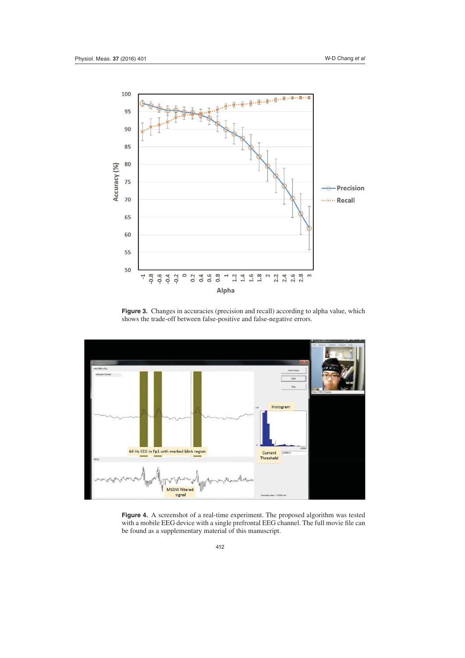

Figure 3. Changes in accuracies (precision and recall) according to alpha value, which shows the trade-off between false-positive and false-negative errors.



**Figure 4.** A screenshot of a real-time experiment. The proposed algorithm was tested with a mobile EEG device with a single prefrontal EEG channel. The full movie file can be found as a supplementary material of this manuscript.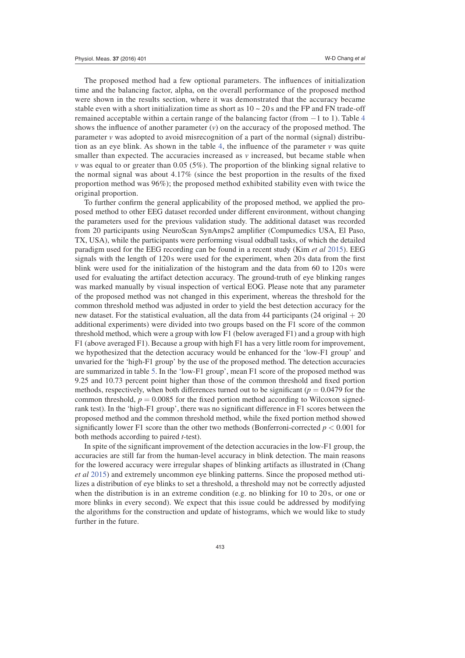The proposed method had a few optional parameters. The influences of initialization time and the balancing factor, alpha, on the overall performance of the proposed method were shown in the results section, where it was demonstrated that the accuracy became stable even with a short initialization time as short as  $10 \sim 20$  s and the FP and FN trade-off remained acceptable within a certain range of the balancing factor (from −1 to 1). Table 4 shows the influence of another parameter  $(v)$  on the accuracy of the proposed method. The parameter *v* was adopted to avoid misrecognition of a part of the normal (signal) distribution as an eye blink. As shown in the table 4, the influence of the parameter  $\nu$  was quite smaller than expected. The accuracies increased as *v* increased, but became stable when *v* was equal to or greater than 0.05 (5%). The proportion of the blinking signal relative to the normal signal was about 4.17% (since the best proportion in the results of the fixed proportion method was 96%); the proposed method exhibited stability even with twice the original proportion.

To further confirm the general applicability of the proposed method, we applied the proposed method to other EEG dataset recorded under different environment, without changing the parameters used for the previous validation study. The additional dataset was recorded from 20 participants using NeuroScan SynAmps2 amplifier (Compumedics USA, El Paso, TX, USA), while the participants were performing visual oddball tasks, of which the detailed paradigm used for the EEG recording can be found in a recent study (Kim *et al* 2015). EEG signals with the length of 120s were used for the experiment, when 20s data from the first blink were used for the initialization of the histogram and the data from 60 to 120s were used for evaluating the artifact detection accuracy. The ground-truth of eye blinking ranges was marked manually by visual inspection of vertical EOG. Please note that any parameter of the proposed method was not changed in this experiment, whereas the threshold for the common threshold method was adjusted in order to yield the best detection accuracy for the new dataset. For the statistical evaluation, all the data from 44 participants (24 original  $+20$ additional experiments) were divided into two groups based on the F1 score of the common threshold method, which were a group with low F1 (below averaged F1) and a group with high F1 (above averaged F1). Because a group with high F1 has a very little room for improvement, we hypothesized that the detection accuracy would be enhanced for the 'low-F1 group' and unvaried for the 'high-F1 group' by the use of the proposed method. The detection accuracies are summarized in table 5. In the 'low-F1 group', mean F1 score of the proposed method was 9.25 and 10.73 percent point higher than those of the common threshold and fixed portion methods, respectively, when both differences turned out to be significant ( $p = 0.0479$  for the common threshold,  $p = 0.0085$  for the fixed portion method according to Wilcoxon signedrank test). In the 'high-F1 group', there was no significant difference in F1 scores between the proposed method and the common threshold method, while the fixed portion method showed significantly lower F1 score than the other two methods (Bonferroni-corrected  $p < 0.001$  for both methods according to paired *t*-test).

In spite of the significant improvement of the detection accuracies in the low-F1 group, the accuracies are still far from the human-level accuracy in blink detection. The main reasons for the lowered accuracy were irregular shapes of blinking artifacts as illustrated in (Chang *et al* 2015) and extremely uncommon eye blinking patterns. Since the proposed method utilizes a distribution of eye blinks to set a threshold, a threshold may not be correctly adjusted when the distribution is in an extreme condition (e.g. no blinking for 10 to 20s, or one or more blinks in every second). We expect that this issue could be addressed by modifying the algorithms for the construction and update of histograms, which we would like to study further in the future.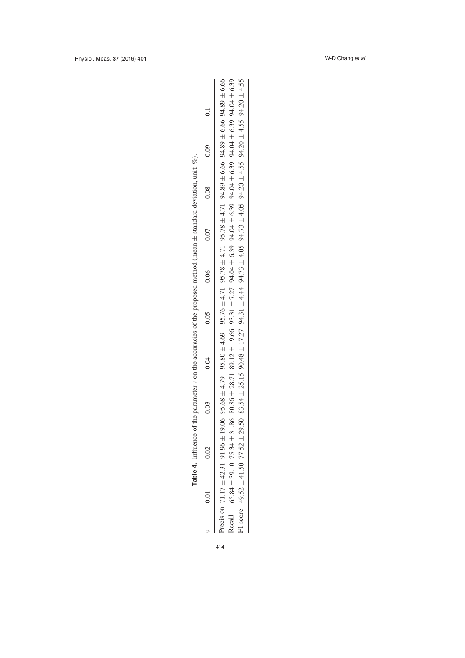|   |               |         |             | or the parameter v on the accuracies of the proposeo. |        |        |           |          |               |                |  |
|---|---------------|---------|-------------|-------------------------------------------------------|--------|--------|-----------|----------|---------------|----------------|--|
|   | $\frac{1}{2}$ | יי<br>ג | ς<br>Ο<br>3 | ילי<br>$\frac{1}{3}$                                  | 3<br>ä | ع<br>ڊ | n n7<br>3 | ς σ<br>5 | 001<br>)<br>2 | $\vec{E}$<br>¢ |  |
| l |               |         |             |                                                       |        |        |           |          |               |                |  |

| $80.86 + 21.186 + 24 + 24 + 24 + 24 + 24 + 24 + 25 + 26 + 26 + 27 + 27 + 27 + 27 + 27 + 28 + 28 + 28 + 28 + 29 + 29 + 20 + 20 + 27 + 27 + 29 + 20 + 20 + 20 + 21 + 22 + 23 + 26 + 27 + 28 + 27 + 29 + 20 + 20 + 21 + 23 + 21 + 23 + 22 + 23 + 24 + 23 + 29 + 20 + 20 + 21 + 23 + 2$<br>Precision 71.17 ± 42.31 91.964 ± 0.06 95.06 + 4.79 95.78 + 4.69 95.78 ± 4.71 95.78 ± 4.71 95.78 ± 4.71 94.89 ± 6.66 94.89 ± 6.66<br>$F1$ score 49.52 ± 41.50 77.52 ± 29.50 83.54 ± 25.15 90.48 ± 21.79 $+4.04$ 94.73 $+4.05$ 94.73 $\pm$ 4.05 94.25 ± 4.05 94.25 ± 4.05 94.27 ± 4.05 \$4.27 ± 4.05 \$4.27 ± 4.05 \$4.27 ± 4.55 94.20 ± 4.55<br>0.03 |
|--------------------------------------------------------------------------------------------------------------------------------------------------------------------------------------------------------------------------------------------------------------------------------------------------------------------------------------------------------------------------------------------------------------------------------------------------------------------------------------------------------------------------------------------------------------------------------------------------------------------------------------------|
|                                                                                                                                                                                                                                                                                                                                                                                                                                                                                                                                                                                                                                            |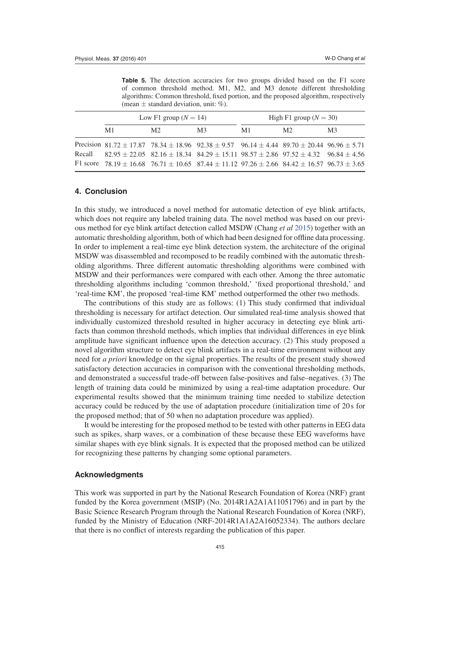**Table 5.** The detection accuracies for two groups divided based on the F1 score of common threshold method. M1, M2, and M3 denote different thresholding algorithms: Common threshold, fixed portion, and the proposed algorithm, respectively (mean  $\pm$  standard deviation, unit: %).

|    | Low F1 group $(N = 14)$                                                                                                                                                                                                                                                                                                             |    |    | High F1 group $(N = 30)$ |                |
|----|-------------------------------------------------------------------------------------------------------------------------------------------------------------------------------------------------------------------------------------------------------------------------------------------------------------------------------------|----|----|--------------------------|----------------|
| M1 | M2.                                                                                                                                                                                                                                                                                                                                 | M3 | M1 | M2                       | M <sub>3</sub> |
|    | Precision 81.72 ± 17.87 78.34 ± 18.96 92.38 ± 9.57 96.14 ± 4.44 89.70 ± 20.44 96.96 ± 5.71<br>Recall $82.95 \pm 22.05$ $82.16 \pm 18.34$ $84.29 \pm 15.11$ $98.57 \pm 2.86$ $97.52 \pm 4.32$ $96.84 \pm 4.56$<br>F1 score $78.19 \pm 16.68$ $76.71 \pm 10.65$ $87.44 \pm 11.12$ $97.26 \pm 2.66$ $84.42 \pm 16.57$ $96.73 \pm 3.65$ |    |    |                          |                |

# **4. Conclusion**

In this study, we introduced a novel method for automatic detection of eye blink artifacts, which does not require any labeled training data. The novel method was based on our previous method for eye blink artifact detection called MSDW (Chang *et al* 2015) together with an automatic thresholding algorithm, both of which had been designed for offline data processing. In order to implement a real-time eye blink detection system, the architecture of the original MSDW was disassembled and recomposed to be readily combined with the automatic thresholding algorithms. Three different automatic thresholding algorithms were combined with MSDW and their performances were compared with each other. Among the three automatic thresholding algorithms including 'common threshold,' 'fixed proportional threshold,' and 'real-time KM', the proposed 'real-time KM' method outperformed the other two methods.

The contributions of this study are as follows: (1) This study confirmed that individual thresholding is necessary for artifact detection. Our simulated real-time analysis showed that individually customized threshold resulted in higher accuracy in detecting eye blink artifacts than common threshold methods, which implies that individual differences in eye blink amplitude have significant influence upon the detection accuracy. (2) This study proposed a novel algorithm structure to detect eye blink artifacts in a real-time environment without any need for *a priori* knowledge on the signal properties. The results of the present study showed satisfactory detection accuracies in comparison with the conventional thresholding methods, and demonstrated a successful trade-off between false-positives and false–negatives. (3) The length of training data could be minimized by using a real-time adaptation procedure. Our experimental results showed that the minimum training time needed to stabilize detection accuracy could be reduced by the use of adaptation procedure (initialization time of 20 s for the proposed method; that of 50 when no adaptation procedure was applied).

It would be interesting for the proposed method to be tested with other patterns in EEG data such as spikes, sharp waves, or a combination of these because these EEG waveforms have similar shapes with eye blink signals. It is expected that the proposed method can be utilized for recognizing these patterns by changing some optional parameters.

#### **Acknowledgments**

This work was supported in part by the National Research Foundation of Korea (NRF) grant funded by the Korea government (MSIP) (No. 2014R1A2A1A11051796) and in part by the Basic Science Research Program through the National Research Foundation of Korea (NRF), funded by the Ministry of Education (NRF-2014R1A1A2A16052334). The authors declare that there is no conflict of interests regarding the publication of this paper.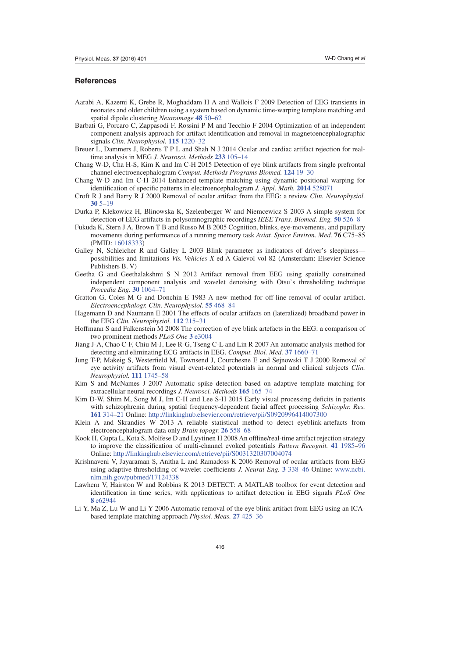# **References**

- Aarabi A, Kazemi K, Grebe R, Moghaddam H A and Wallois F 2009 Detection of EEG transients in neonates and older children using a system based on dynamic time-warping template matching and spatial dipole clustering *Neuroimage* **48** 50–62
- Barbati G, Porcaro C, Zappasodi F, Rossini P M and Tecchio F 2004 Optimization of an independent component analysis approach for artifact identification and removal in magnetoencephalographic signals *Clin. Neurophysiol.* **115** 1220–32
- Breuer L, Dammers J, Roberts T P L and Shah N J 2014 Ocular and cardiac artifact rejection for realtime analysis in MEG *J. Neurosci. Methods* **233** 105–14
- Chang W-D, Cha H-S, Kim K and Im C-H 2015 Detection of eye blink artifacts from single prefrontal channel electroencephalogram *Comput. Methods Programs Biomed.* **124** 19–30
- Chang W-D and Im C-H 2014 Enhanced template matching using dynamic positional warping for identification of specific patterns in electroencephalogram *J. Appl. Math.* **2014** 528071
- Croft R J and Barry R J 2000 Removal of ocular artifact from the EEG: a review *Clin. Neurophysiol.* **30** 5–19
- Durka P, Klekowicz H, Blinowska K, Szelenberger W and Niemcewicz S 2003 A simple system for detection of EEG artifacts in polysomnographic recordings *IEEE Trans. Biomed. Eng.* **50** 526–8
- Fukuda K, Stern J A, Brown T B and Russo M B 2005 Cognition, blinks, eye-movements, and pupillary movements during performance of a running memory task *Aviat. Space Environ. Med.* **76** C75–85 (PMID: 16018333)
- Galley N, Schleicher R and Galley L 2003 Blink parameter as indicators of driver's sleepinesspossibilities and limitations *Vis. Vehicles X* ed A Galevol vol 82 (Amsterdam: Elsevier Science Publishers B. V)
- Geetha G and Geethalakshmi S N 2012 Artifact removal from EEG using spatially constrained independent component analysis and wavelet denoising with Otsu's thresholding technique *Procedia Eng.* **30** 1064–71
- Gratton G, Coles M G and Donchin E 1983 A new method for off-line removal of ocular artifact. *Electroencephalogr. Clin. Neurophysiol.* **55** 468–84
- Hagemann D and Naumann E 2001 The effects of ocular artifacts on (lateralized) broadband power in the EEG *Clin. Neurophysiol.* **112** 215–31
- Hoffmann S and Falkenstein M 2008 The correction of eye blink artefacts in the EEG: a comparison of two prominent methods *PLoS One* **3** e3004
- Jiang J-A, Chao C-F, Chiu M-J, Lee R-G, Tseng C-L and Lin R 2007 An automatic analysis method for detecting and eliminating ECG artifacts in EEG. *Comput. Biol. Med.* **37** 1660–71
- Jung T-P, Makeig S, Westerfield M, Townsend J, Courchesne E and Sejnowski T J 2000 Removal of eye activity artifacts from visual event-related potentials in normal and clinical subjects *Clin. Neurophysiol.* **111** 1745–58
- Kim S and McNames J 2007 Automatic spike detection based on adaptive template matching for extracellular neural recordings *J. Neurosci. Methods* **165** 165–74
- Kim D-W, Shim M, Song M J, Im C-H and Lee S-H 2015 Early visual processing deficits in patients with schizophrenia during spatial frequency-dependent facial affect processing *Schizophr. Res.* **161** 314–21 Online: http://linkinghub.elsevier.com/retrieve/pii/S0920996414007300
- Klein A and Skrandies W 2013 A reliable statistical method to detect eyeblink-artefacts from electroencephalogram data only *Brain topogr.* **26** 558–68
- Kook H, Gupta L, Kota S, Molfese D and Lyytinen H 2008 An offline/real-time artifact rejection strategy to improve the classification of multi-channel evoked potentials *Pattern Recognit.* **41** 1985–96 Online: http://linkinghub.elsevier.com/retrieve/pii/S0031320307004074
- Krishnaveni V, Jayaraman S, Anitha L and Ramadoss K 2006 Removal of ocular artifacts from EEG using adaptive thresholding of wavelet coefficients *J. Neural Eng.* **3** 338–46 Online: www.ncbi. nlm.nih.gov/pubmed/17124338
- Lawhern V, Hairston W and Robbins K 2013 DETECT: A MATLAB toolbox for event detection and identification in time series, with applications to artifact detection in EEG signals *PLoS One* **8** e62944
- Li Y, Ma Z, Lu W and Li Y 2006 Automatic removal of the eye blink artifact from EEG using an ICAbased template matching approach *Physiol. Meas.* **27** 425–36